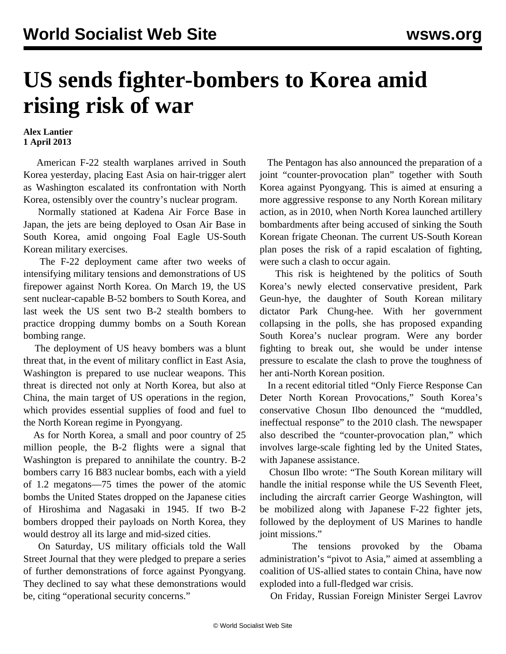## **US sends fighter-bombers to Korea amid rising risk of war**

## **Alex Lantier 1 April 2013**

 American F-22 stealth warplanes arrived in South Korea yesterday, placing East Asia on hair-trigger alert as Washington escalated its confrontation with North Korea, ostensibly over the country's nuclear program.

 Normally stationed at Kadena Air Force Base in Japan, the jets are being deployed to Osan Air Base in South Korea, amid ongoing Foal Eagle US-South Korean military exercises.

 The F-22 deployment came after two weeks of intensifying military tensions and demonstrations of US firepower against North Korea. On March 19, the US sent nuclear-capable B-52 bombers to South Korea, and last week the US sent two B-2 stealth bombers to practice dropping dummy bombs on a South Korean bombing range.

 The deployment of US heavy bombers was a blunt threat that, in the event of military conflict in East Asia, Washington is prepared to use nuclear weapons. This threat is directed not only at North Korea, but also at China, the main target of US operations in the region, which provides essential supplies of food and fuel to the North Korean regime in Pyongyang.

 As for North Korea, a small and poor country of 25 million people, the B-2 flights were a signal that Washington is prepared to annihilate the country. B-2 bombers carry 16 B83 nuclear bombs, each with a yield of 1.2 megatons—75 times the power of the atomic bombs the United States dropped on the Japanese cities of Hiroshima and Nagasaki in 1945. If two B-2 bombers dropped their payloads on North Korea, they would destroy all its large and mid-sized cities.

 On Saturday, US military officials told the Wall Street Journal that they were pledged to prepare a series of further demonstrations of force against Pyongyang. They declined to say what these demonstrations would be, citing "operational security concerns."

 The Pentagon has also announced the preparation of a joint "counter-provocation plan" together with South Korea against Pyongyang. This is aimed at ensuring a more aggressive response to any North Korean military action, as in 2010, when North Korea launched artillery bombardments after being accused of sinking the South Korean frigate Cheonan. The current US-South Korean plan poses the risk of a rapid escalation of fighting, were such a clash to occur again.

 This risk is heightened by the politics of South Korea's newly elected conservative president, Park Geun-hye, the daughter of South Korean military dictator Park Chung-hee. With her government collapsing in the polls, she has proposed expanding South Korea's nuclear program. Were any border fighting to break out, she would be under intense pressure to escalate the clash to prove the toughness of her anti-North Korean position.

 In a recent editorial titled "Only Fierce Response Can Deter North Korean Provocations," South Korea's conservative Chosun Ilbo denounced the "muddled, ineffectual response" to the 2010 clash. The newspaper also described the "counter-provocation plan," which involves large-scale fighting led by the United States, with Japanese assistance.

 Chosun Ilbo wrote: "The South Korean military will handle the initial response while the US Seventh Fleet, including the aircraft carrier George Washington, will be mobilized along with Japanese F-22 fighter jets, followed by the deployment of US Marines to handle joint missions."

 The tensions provoked by the Obama administration's "pivot to Asia," aimed at assembling a coalition of US-allied states to contain China, have now exploded into a full-fledged war crisis.

On Friday, Russian Foreign Minister Sergei Lavrov